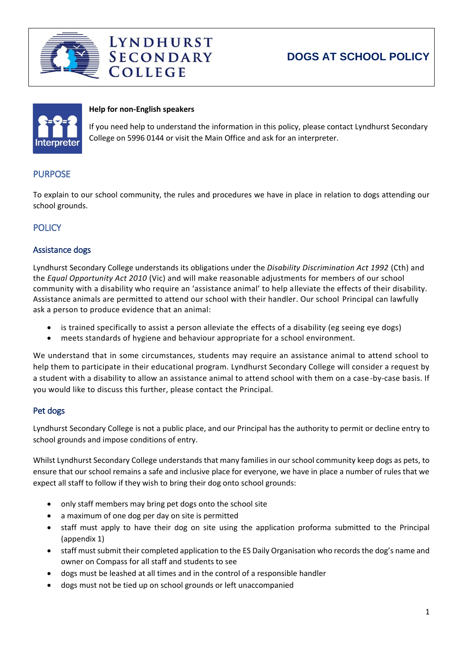

# **DOGS AT SCHOOL POLICY**



#### **Help for non-English speakers**

**COLLEGE** 

**LYNDHURST SECONDARY** 

If you need help to understand the information in this policy, please contact Lyndhurst Secondary College on 5996 0144 or visit the Main Office and ask for an interpreter.

## **PURPOSE**

To explain to our school community, the rules and procedures we have in place in relation to dogs attending our school grounds.

### **POLICY**

#### Assistance dogs

Lyndhurst Secondary College understands its obligations under the *Disability Discrimination Act 1992* (Cth) and the *Equal Opportunity Act 2010* (Vic) and will make reasonable adjustments for members of our school community with a disability who require an 'assistance animal' to help alleviate the effects of their disability. Assistance animals are permitted to attend our school with their handler. Our school Principal can lawfully ask a person to produce evidence that an animal:

- is trained specifically to assist a person alleviate the effects of a disability (eg seeing eye dogs)
- meets standards of hygiene and behaviour appropriate for a school environment.

We understand that in some circumstances, students may require an assistance animal to attend school to help them to participate in their educational program. Lyndhurst Secondary College will consider a request by a student with a disability to allow an assistance animal to attend school with them on a case-by-case basis. If you would like to discuss this further, please contact the Principal.

#### Pet dogs

Lyndhurst Secondary College is not a public place, and our Principal has the authority to permit or decline entry to school grounds and impose conditions of entry.

Whilst Lyndhurst Secondary College understands that many families in our school community keep dogs as pets, to ensure that our school remains a safe and inclusive place for everyone, we have in place a number of rules that we expect all staff to follow if they wish to bring their dog onto school grounds:

- only staff members may bring pet dogs onto the school site
- a maximum of one dog per day on site is permitted
- staff must apply to have their dog on site using the application proforma submitted to the Principal (appendix 1)
- staff must submit their completed application to the ES Daily Organisation who records the dog's name and owner on Compass for all staff and students to see
- dogs must be leashed at all times and in the control of a responsible handler
- dogs must not be tied up on school grounds or left unaccompanied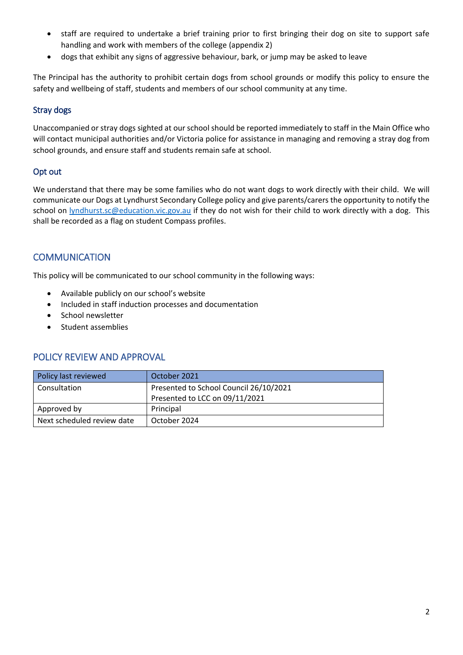- staff are required to undertake a brief training prior to first bringing their dog on site to support safe handling and work with members of the college (appendix 2)
- dogs that exhibit any signs of aggressive behaviour, bark, or jump may be asked to leave

The Principal has the authority to prohibit certain dogs from school grounds or modify this policy to ensure the safety and wellbeing of staff, students and members of our school community at any time.

### Stray dogs

Unaccompanied or stray dogs sighted at our school should be reported immediately to staff in the Main Office who will contact municipal authorities and/or Victoria police for assistance in managing and removing a stray dog from school grounds, and ensure staff and students remain safe at school.

### Opt out

We understand that there may be some families who do not want dogs to work directly with their child. We will communicate our Dogs at Lyndhurst Secondary College policy and give parents/carers the opportunity to notify the school on [lyndhurst.sc@education.vic.gov.au](mailto:lyndhurst.sc@education.vic.gov.au) if they do not wish for their child to work directly with a dog. This shall be recorded as a flag on student Compass profiles.

## **COMMUNICATION**

This policy will be communicated to our school community in the following ways:

- Available publicly on our school's website
- Included in staff induction processes and documentation
- School newsletter
- Student assemblies

## POLICY REVIEW AND APPROVAL

| Policy last reviewed       | October 2021                           |  |
|----------------------------|----------------------------------------|--|
| Consultation               | Presented to School Council 26/10/2021 |  |
|                            | Presented to LCC on 09/11/2021         |  |
| Approved by                | Principal                              |  |
| Next scheduled review date | October 2024                           |  |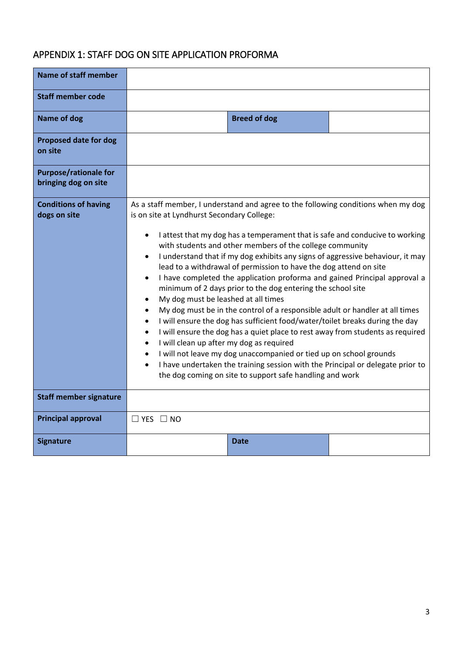# APPENDIX 1: STAFF DOG ON SITE APPLICATION PROFORMA

| <b>Name of staff member</b>                                |                                                                                                                                                                                                                                                                                                                                                                                                                                                                                                                                                                                                                                                                                                                                                                                                                                                                                                                                                                                                                                                                                                                                                                                                                                                                           |  |  |  |
|------------------------------------------------------------|---------------------------------------------------------------------------------------------------------------------------------------------------------------------------------------------------------------------------------------------------------------------------------------------------------------------------------------------------------------------------------------------------------------------------------------------------------------------------------------------------------------------------------------------------------------------------------------------------------------------------------------------------------------------------------------------------------------------------------------------------------------------------------------------------------------------------------------------------------------------------------------------------------------------------------------------------------------------------------------------------------------------------------------------------------------------------------------------------------------------------------------------------------------------------------------------------------------------------------------------------------------------------|--|--|--|
| <b>Staff member code</b>                                   |                                                                                                                                                                                                                                                                                                                                                                                                                                                                                                                                                                                                                                                                                                                                                                                                                                                                                                                                                                                                                                                                                                                                                                                                                                                                           |  |  |  |
| <b>Name of dog</b>                                         | <b>Breed of dog</b>                                                                                                                                                                                                                                                                                                                                                                                                                                                                                                                                                                                                                                                                                                                                                                                                                                                                                                                                                                                                                                                                                                                                                                                                                                                       |  |  |  |
| <b>Proposed date for dog</b><br>on site                    |                                                                                                                                                                                                                                                                                                                                                                                                                                                                                                                                                                                                                                                                                                                                                                                                                                                                                                                                                                                                                                                                                                                                                                                                                                                                           |  |  |  |
| <b>Purpose/rationale for</b><br>bringing dog on site       |                                                                                                                                                                                                                                                                                                                                                                                                                                                                                                                                                                                                                                                                                                                                                                                                                                                                                                                                                                                                                                                                                                                                                                                                                                                                           |  |  |  |
| <b>Conditions of having</b><br>dogs on site                | As a staff member, I understand and agree to the following conditions when my dog<br>is on site at Lyndhurst Secondary College:<br>I attest that my dog has a temperament that is safe and conducive to working<br>$\bullet$<br>with students and other members of the college community<br>I understand that if my dog exhibits any signs of aggressive behaviour, it may<br>$\bullet$<br>lead to a withdrawal of permission to have the dog attend on site<br>I have completed the application proforma and gained Principal approval a<br>$\bullet$<br>minimum of 2 days prior to the dog entering the school site<br>My dog must be leashed at all times<br>$\bullet$<br>My dog must be in the control of a responsible adult or handler at all times<br>$\bullet$<br>I will ensure the dog has sufficient food/water/toilet breaks during the day<br>$\bullet$<br>I will ensure the dog has a quiet place to rest away from students as required<br>$\bullet$<br>I will clean up after my dog as required<br>$\bullet$<br>I will not leave my dog unaccompanied or tied up on school grounds<br>$\bullet$<br>I have undertaken the training session with the Principal or delegate prior to<br>$\bullet$<br>the dog coming on site to support safe handling and work |  |  |  |
| <b>Staff member signature</b><br><b>Principal approval</b> | $\Box$ YES $\Box$ NO                                                                                                                                                                                                                                                                                                                                                                                                                                                                                                                                                                                                                                                                                                                                                                                                                                                                                                                                                                                                                                                                                                                                                                                                                                                      |  |  |  |
| <b>Signature</b>                                           | Date                                                                                                                                                                                                                                                                                                                                                                                                                                                                                                                                                                                                                                                                                                                                                                                                                                                                                                                                                                                                                                                                                                                                                                                                                                                                      |  |  |  |